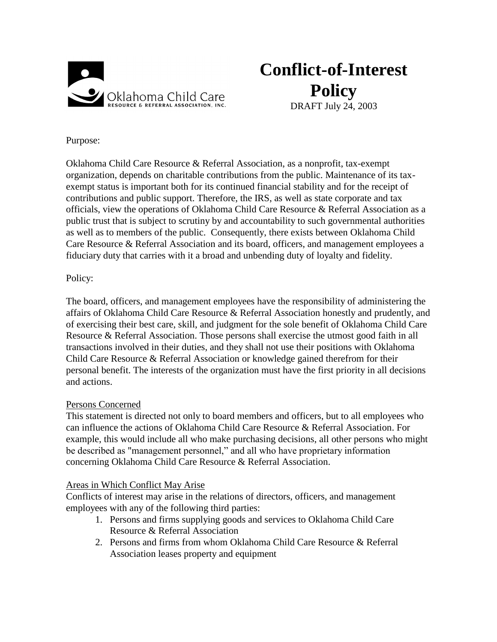

# **Conflict-of-Interest Policy**

DRAFT July 24, 2003

Purpose:

Oklahoma Child Care Resource & Referral Association, as a nonprofit, tax-exempt organization, depends on charitable contributions from the public. Maintenance of its taxexempt status is important both for its continued financial stability and for the receipt of contributions and public support. Therefore, the IRS, as well as state corporate and tax officials, view the operations of Oklahoma Child Care Resource & Referral Association as a public trust that is subject to scrutiny by and accountability to such governmental authorities as well as to members of the public. Consequently, there exists between Oklahoma Child Care Resource & Referral Association and its board, officers, and management employees a fiduciary duty that carries with it a broad and unbending duty of loyalty and fidelity.

### Policy:

The board, officers, and management employees have the responsibility of administering the affairs of Oklahoma Child Care Resource & Referral Association honestly and prudently, and of exercising their best care, skill, and judgment for the sole benefit of Oklahoma Child Care Resource & Referral Association. Those persons shall exercise the utmost good faith in all transactions involved in their duties, and they shall not use their positions with Oklahoma Child Care Resource & Referral Association or knowledge gained therefrom for their personal benefit. The interests of the organization must have the first priority in all decisions and actions.

### Persons Concerned

This statement is directed not only to board members and officers, but to all employees who can influence the actions of Oklahoma Child Care Resource & Referral Association. For example, this would include all who make purchasing decisions, all other persons who might be described as "management personnel," and all who have proprietary information concerning Oklahoma Child Care Resource & Referral Association.

### Areas in Which Conflict May Arise

Conflicts of interest may arise in the relations of directors, officers, and management employees with any of the following third parties:

- 1. Persons and firms supplying goods and services to Oklahoma Child Care Resource & Referral Association
- 2. Persons and firms from whom Oklahoma Child Care Resource & Referral Association leases property and equipment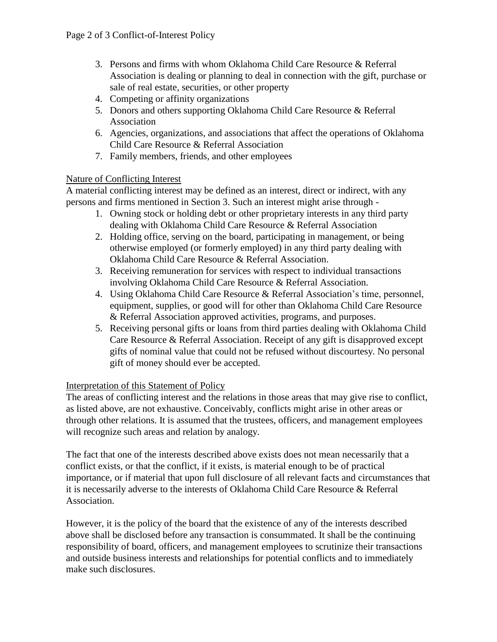- 3. Persons and firms with whom Oklahoma Child Care Resource & Referral Association is dealing or planning to deal in connection with the gift, purchase or sale of real estate, securities, or other property
- 4. Competing or affinity organizations
- 5. Donors and others supporting Oklahoma Child Care Resource & Referral Association
- 6. Agencies, organizations, and associations that affect the operations of Oklahoma Child Care Resource & Referral Association
- 7. Family members, friends, and other employees

#### Nature of Conflicting Interest

A material conflicting interest may be defined as an interest, direct or indirect, with any persons and firms mentioned in Section 3. Such an interest might arise through -

- 1. Owning stock or holding debt or other proprietary interests in any third party dealing with Oklahoma Child Care Resource & Referral Association
- 2. Holding office, serving on the board, participating in management, or being otherwise employed (or formerly employed) in any third party dealing with Oklahoma Child Care Resource & Referral Association.
- 3. Receiving remuneration for services with respect to individual transactions involving Oklahoma Child Care Resource & Referral Association.
- 4. Using Oklahoma Child Care Resource & Referral Association's time, personnel, equipment, supplies, or good will for other than Oklahoma Child Care Resource & Referral Association approved activities, programs, and purposes.
- 5. Receiving personal gifts or loans from third parties dealing with Oklahoma Child Care Resource & Referral Association. Receipt of any gift is disapproved except gifts of nominal value that could not be refused without discourtesy. No personal gift of money should ever be accepted.

### Interpretation of this Statement of Policy

The areas of conflicting interest and the relations in those areas that may give rise to conflict, as listed above, are not exhaustive. Conceivably, conflicts might arise in other areas or through other relations. It is assumed that the trustees, officers, and management employees will recognize such areas and relation by analogy.

The fact that one of the interests described above exists does not mean necessarily that a conflict exists, or that the conflict, if it exists, is material enough to be of practical importance, or if material that upon full disclosure of all relevant facts and circumstances that it is necessarily adverse to the interests of Oklahoma Child Care Resource & Referral Association.

However, it is the policy of the board that the existence of any of the interests described above shall be disclosed before any transaction is consummated. It shall be the continuing responsibility of board, officers, and management employees to scrutinize their transactions and outside business interests and relationships for potential conflicts and to immediately make such disclosures.